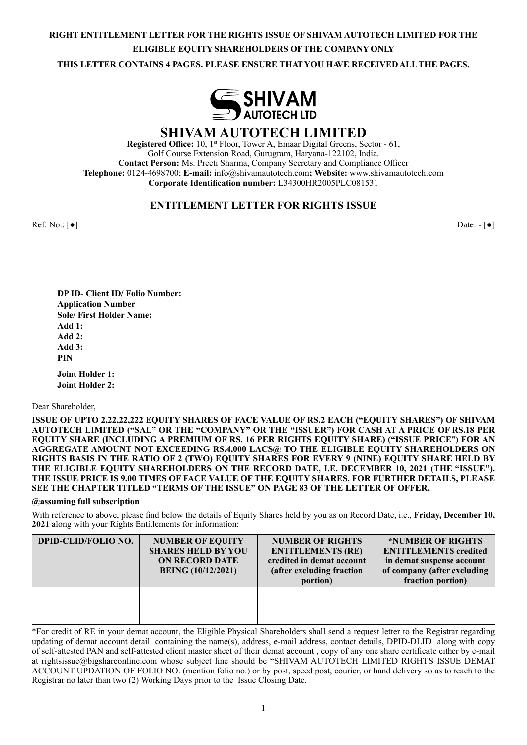# **RIGHT ENTITLEMENT LETTER FOR THE RIGHTS ISSUE OF SHIVAM AUTOTECH LIMITED FOR THE ELIGIBLE EQUITY SHAREHOLDERS OF THE COMPANY ONLY**

**THIS LETTER CONTAINS 4 PAGES. PLEASE ENSURE THAT YOU HAVE RECEIVED ALL THE PAGES.**



**SHIVAM AUTOTECH LIMITED**

**Registered Office:** 10, 1st Floor, Tower A, Emaar Digital Greens, Sector - 61, Golf Course Extension Road, Gurugram, Haryana-122102, India. **Contact Person:** Ms. Preeti Sharma, Company Secretary and Compliance Officer **Telephone:** 0124-4698700; **E-mail:** info@shivamautotech.com**; Website:** www.shivamautotech.com **Corporate Identification number:** L34300HR2005PLC081531

# **ENTITLEMENT LETTER FOR RIGHTS ISSUE**

Ref. No.: [●] Date: - [●] Date: - [●]

**DP ID- Client ID/ Folio Number: Application Number Sole/ First Holder Name: Add 1: Add 2: Add 3: PIN**

**Joint Holder 1: Joint Holder 2:** 

Dear Shareholder,

**ISSUE OF UPTO 2,22,22,222 EQUITY SHARES OF FACE VALUE OF RS.2 EACH ("EQUITY SHARES") OF SHIVAM AUTOTECH LIMITED ("SAL" OR THE "COMPANY" OR THE "ISSUER") FOR CASH AT A PRICE OF RS.18 PER EQUITY SHARE (INCLUDING A PREMIUM OF RS. 16 PER RIGHTS EQUITY SHARE) ("ISSUE PRICE") FOR AN AGGREGATE AMOUNT NOT EXCEEDING RS.4,000 LACS@ TO THE ELIGIBLE EQUITY SHAREHOLDERS ON RIGHTS BASIS IN THE RATIO OF 2 (TWO) EQUITY SHARES FOR EVERY 9 (NINE) EQUITY SHARE HELD BY THE ELIGIBLE EQUITY SHAREHOLDERS ON THE RECORD DATE, I.E. DECEMBER 10, 2021 (THE "ISSUE"). THE ISSUE PRICE IS 9.00 TIMES OF FACE VALUE OF THE EQUITY SHARES. FOR FURTHER DETAILS, PLEASE SEE THE CHAPTER TITLED "TERMS OF THE ISSUE" ON PAGE 83 OF THE LETTER OF OFFER.**

#### **@assuming full subscription**

With reference to above, please find below the details of Equity Shares held by you as on Record Date, i.e., **Friday, December 10, 2021** along with your Rights Entitlements for information:

| <b>DPID-CLID/FOLIO NO.</b> | <b>NUMBER OF EQUITY</b><br><b>SHARES HELD BY YOU</b><br><b>ON RECORD DATE</b><br><b>BEING</b> (10/12/2021) | <b>NUMBER OF RIGHTS</b><br><b>ENTITLEMENTS (RE)</b><br>credited in demat account<br>(after excluding fraction<br>portion) | *NUMBER OF RIGHTS<br><b>ENTITLEMENTS</b> credited<br>in demat suspense account<br>of company (after excluding<br>fraction portion) |
|----------------------------|------------------------------------------------------------------------------------------------------------|---------------------------------------------------------------------------------------------------------------------------|------------------------------------------------------------------------------------------------------------------------------------|
|                            |                                                                                                            |                                                                                                                           |                                                                                                                                    |

\*For credit of RE in your demat account, the Eligible Physical Shareholders shall send a request letter to the Registrar regarding updating of demat account detail containing the name(s), address, e-mail address, contact details, DPID-DLID along with copy of self-attested PAN and self-attested client master sheet of their demat account , copy of any one share certificate either by e-mail at rightsissue@bigshareonline.com whose subject line should be "SHIVAM AUTOTECH LIMITED RIGHTS ISSUE DEMAT ACCOUNT UPDATION OF FOLIO NO. (mention folio no.) or by post, speed post, courier, or hand delivery so as to reach to the Registrar no later than two (2) Working Days prior to the Issue Closing Date.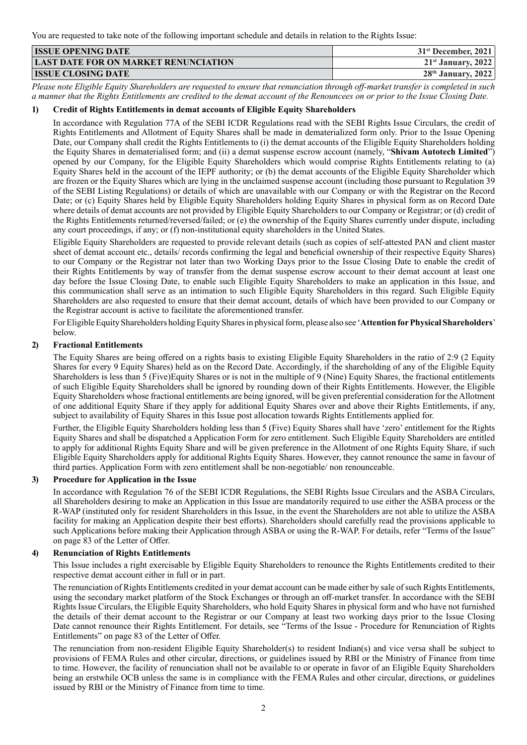You are requested to take note of the following important schedule and details in relation to the Rights Issue:

| <b>ISSUE OPENING DATE</b>                   | $31st$ December, 2021 |
|---------------------------------------------|-----------------------|
| <b>LAST DATE FOR ON MARKET RENUNCIATION</b> | $21st$ January, 2022  |
| <b>ISSUE CLOSING DATE</b>                   | $28th$ January, 2022  |

*Please note Eligible Equity Shareholders are requested to ensure that renunciation through off-market transfer is completed in such a manner that the Rights Entitlements are credited to the demat account of the Renouncees on or prior to the Issue Closing Date.*

## **1) Credit of Rights Entitlements in demat accounts of Eligible Equity Shareholders**

In accordance with Regulation 77A of the SEBI ICDR Regulations read with the SEBI Rights Issue Circulars, the credit of Rights Entitlements and Allotment of Equity Shares shall be made in dematerialized form only. Prior to the Issue Opening Date, our Company shall credit the Rights Entitlements to (i) the demat accounts of the Eligible Equity Shareholders holding the Equity Shares in dematerialised form; and (ii) a demat suspense escrow account (namely, "**Shivam Autotech Limited**") opened by our Company, for the Eligible Equity Shareholders which would comprise Rights Entitlements relating to (a) Equity Shares held in the account of the IEPF authority; or (b) the demat accounts of the Eligible Equity Shareholder which are frozen or the Equity Shares which are lying in the unclaimed suspense account (including those pursuant to Regulation 39 of the SEBI Listing Regulations) or details of which are unavailable with our Company or with the Registrar on the Record Date; or (c) Equity Shares held by Eligible Equity Shareholders holding Equity Shares in physical form as on Record Date where details of demat accounts are not provided by Eligible Equity Shareholders to our Company or Registrar; or (d) credit of the Rights Entitlements returned/reversed/failed; or (e) the ownership of the Equity Shares currently under dispute, including any court proceedings, if any; or (f) non-institutional equity shareholders in the United States.

Eligible Equity Shareholders are requested to provide relevant details (such as copies of self-attested PAN and client master sheet of demat account etc., details/ records confirming the legal and beneficial ownership of their respective Equity Shares) to our Company or the Registrar not later than two Working Days prior to the Issue Closing Date to enable the credit of their Rights Entitlements by way of transfer from the demat suspense escrow account to their demat account at least one day before the Issue Closing Date, to enable such Eligible Equity Shareholders to make an application in this Issue, and this communication shall serve as an intimation to such Eligible Equity Shareholders in this regard. Such Eligible Equity Shareholders are also requested to ensure that their demat account, details of which have been provided to our Company or the Registrar account is active to facilitate the aforementioned transfer.

For Eligible Equity Shareholders holding Equity Shares in physical form, please also see '**Attention for Physical Shareholders**' below.

### **2) Fractional Entitlements**

The Equity Shares are being offered on a rights basis to existing Eligible Equity Shareholders in the ratio of 2:9 (2 Equity Shares for every 9 Equity Shares) held as on the Record Date. Accordingly, if the shareholding of any of the Eligible Equity Shareholders is less than 5 (Five)Equity Shares or is not in the multiple of 9 (Nine) Equity Shares, the fractional entitlements of such Eligible Equity Shareholders shall be ignored by rounding down of their Rights Entitlements. However, the Eligible Equity Shareholders whose fractional entitlements are being ignored, will be given preferential consideration for the Allotment of one additional Equity Share if they apply for additional Equity Shares over and above their Rights Entitlements, if any, subject to availability of Equity Shares in this Issue post allocation towards Rights Entitlements applied for.

Further, the Eligible Equity Shareholders holding less than 5 (Five) Equity Shares shall have 'zero' entitlement for the Rights Equity Shares and shall be dispatched a Application Form for zero entitlement. Such Eligible Equity Shareholders are entitled to apply for additional Rights Equity Share and will be given preference in the Allotment of one Rights Equity Share, if such Eligible Equity Shareholders apply for additional Rights Equity Shares. However, they cannot renounce the same in favour of third parties. Application Form with zero entitlement shall be non-negotiable/ non renounceable.

#### **3) Procedure for Application in the Issue**

In accordance with Regulation 76 of the SEBI ICDR Regulations, the SEBI Rights Issue Circulars and the ASBA Circulars, all Shareholders desiring to make an Application in this Issue are mandatorily required to use either the ASBA process or the R-WAP (instituted only for resident Shareholders in this Issue, in the event the Shareholders are not able to utilize the ASBA facility for making an Application despite their best efforts). Shareholders should carefully read the provisions applicable to such Applications before making their Application through ASBA or using the R-WAP. For details, refer "Terms of the Issue" on page 83 of the Letter of Offer.

#### **4) Renunciation of Rights Entitlements**

This Issue includes a right exercisable by Eligible Equity Shareholders to renounce the Rights Entitlements credited to their respective demat account either in full or in part.

The renunciation of Rights Entitlements credited in your demat account can be made either by sale of such Rights Entitlements, using the secondary market platform of the Stock Exchanges or through an off-market transfer. In accordance with the SEBI Rights Issue Circulars, the Eligible Equity Shareholders, who hold Equity Shares in physical form and who have not furnished the details of their demat account to the Registrar or our Company at least two working days prior to the Issue Closing Date cannot renounce their Rights Entitlement. For details, see "Terms of the Issue - Procedure for Renunciation of Rights Entitlements" on page 83 of the Letter of Offer.

The renunciation from non-resident Eligible Equity Shareholder(s) to resident Indian(s) and vice versa shall be subject to provisions of FEMA Rules and other circular, directions, or guidelines issued by RBI or the Ministry of Finance from time to time. However, the facility of renunciation shall not be available to or operate in favor of an Eligible Equity Shareholders being an erstwhile OCB unless the same is in compliance with the FEMA Rules and other circular, directions, or guidelines issued by RBI or the Ministry of Finance from time to time.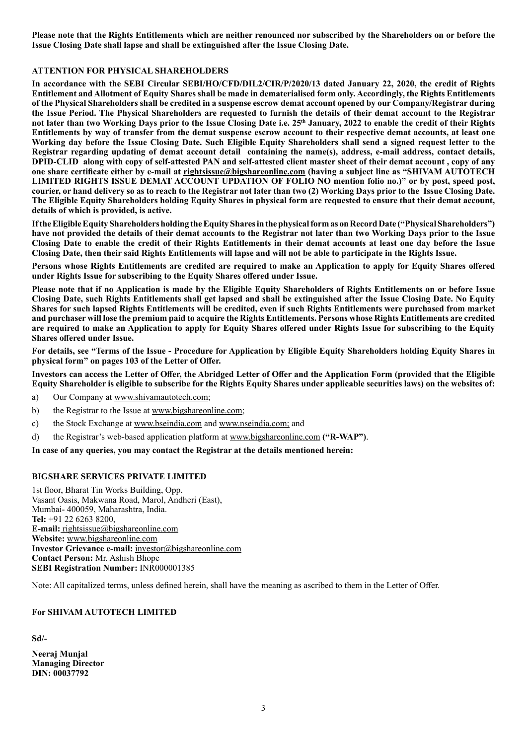**Please note that the Rights Entitlements which are neither renounced nor subscribed by the Shareholders on or before the Issue Closing Date shall lapse and shall be extinguished after the Issue Closing Date.**

#### **ATTENTION FOR PHYSICAL SHAREHOLDERS**

**In accordance with the SEBI Circular SEBI/HO/CFD/DIL2/CIR/P/2020/13 dated January 22, 2020, the credit of Rights Entitlement and Allotment of Equity Shares shall be made in dematerialised form only. Accordingly, the Rights Entitlements of the Physical Shareholders shall be credited in a suspense escrow demat account opened by our Company/Registrar during the Issue Period. The Physical Shareholders are requested to furnish the details of their demat account to the Registrar not later than two Working Days prior to the Issue Closing Date i.e. 25th January, 2022 to enable the credit of their Rights Entitlements by way of transfer from the demat suspense escrow account to their respective demat accounts, at least one Working day before the Issue Closing Date. Such Eligible Equity Shareholders shall send a signed request letter to the Registrar regarding updating of demat account detail containing the name(s), address, e-mail address, contact details, DPID-CLID along with copy of self-attested PAN and self-attested client master sheet of their demat account , copy of any one share certificate either by e-mail at rightsissue@bigshareonline.com (having a subject line as "SHIVAM AUTOTECH LIMITED RIGHTS ISSUE DEMAT ACCOUNT UPDATION OF FOLIO NO mention folio no.)" or by post, speed post, courier, or hand delivery so as to reach to the Registrar not later than two (2) Working Days prior to the Issue Closing Date. The Eligible Equity Shareholders holding Equity Shares in physical form are requested to ensure that their demat account, details of which is provided, is active.**

**If the Eligible Equity Shareholders holding the Equity Shares in the physical form as on Record Date ("Physical Shareholders") have not provided the details of their demat accounts to the Registrar not later than two Working Days prior to the Issue Closing Date to enable the credit of their Rights Entitlements in their demat accounts at least one day before the Issue Closing Date, then their said Rights Entitlements will lapse and will not be able to participate in the Rights Issue.**

**Persons whose Rights Entitlements are credited are required to make an Application to apply for Equity Shares offered under Rights Issue for subscribing to the Equity Shares offered under Issue.**

**Please note that if no Application is made by the Eligible Equity Shareholders of Rights Entitlements on or before Issue Closing Date, such Rights Entitlements shall get lapsed and shall be extinguished after the Issue Closing Date. No Equity Shares for such lapsed Rights Entitlements will be credited, even if such Rights Entitlements were purchased from market and purchaser will lose the premium paid to acquire the Rights Entitlements. Persons whose Rights Entitlements are credited are required to make an Application to apply for Equity Shares offered under Rights Issue for subscribing to the Equity Shares offered under Issue.**

**For details, see "Terms of the Issue - Procedure for Application by Eligible Equity Shareholders holding Equity Shares in physical form" on pages 103 of the Letter of Offer.**

**Investors can access the Letter of Offer, the Abridged Letter of Offer and the Application Form (provided that the Eligible Equity Shareholder is eligible to subscribe for the Rights Equity Shares under applicable securities laws) on the websites of:**

- a) Our Company at www.shivamautotech.com;
- b) the Registrar to the Issue at www.bigshareonline.com;
- c) the Stock Exchange at www.bseindia.com and www.nseindia.com; and
- d) the Registrar's web-based application platform at www.bigshareonline.com **("R-WAP")**.

**In case of any queries, you may contact the Registrar at the details mentioned herein:**

#### **BIGSHARE SERVICES PRIVATE LIMITED**

1st floor, Bharat Tin Works Building, Opp. Vasant Oasis, Makwana Road, Marol, Andheri (East), Mumbai- 400059, Maharashtra, India. **Tel:** +91 22 6263 8200, **E-mail:** rightsissue@bigshareonline.com **Website:** www.bigshareonline.com **Investor Grievance e-mail:** investor@bigshareonline.com **Contact Person:** Mr. Ashish Bhope **SEBI Registration Number:** INR000001385

Note: All capitalized terms, unless defined herein, shall have the meaning as ascribed to them in the Letter of Offer.

#### **For SHIVAM AUTOTECH LIMITED**

**Sd/-**

**Neeraj Munjal Managing Director DIN: 00037792**